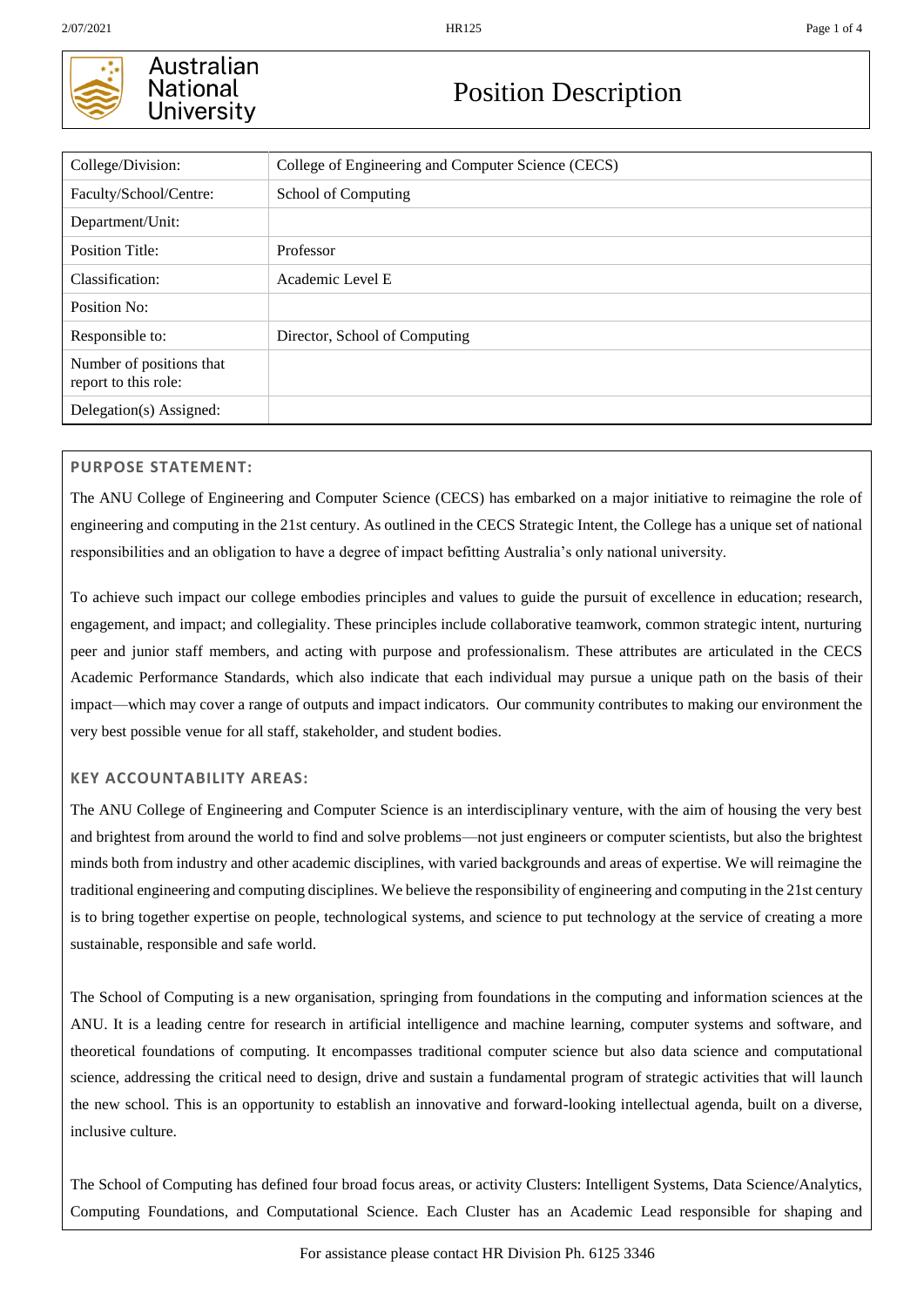

# Australian **National University**

# Position Description

| College/Division:                                | College of Engineering and Computer Science (CECS) |
|--------------------------------------------------|----------------------------------------------------|
| Faculty/School/Centre:                           | School of Computing                                |
| Department/Unit:                                 |                                                    |
| <b>Position Title:</b>                           | Professor                                          |
| Classification:                                  | Academic Level E                                   |
| Position No:                                     |                                                    |
| Responsible to:                                  | Director, School of Computing                      |
| Number of positions that<br>report to this role: |                                                    |
| Delegation(s) Assigned:                          |                                                    |

## **PURPOSE STATEMENT:**

The ANU College of Engineering and Computer Science (CECS) has embarked on a major initiative to reimagine the role of engineering and computing in the 21st century. As outlined in the [CECS Strategic Intent,](https://cecs.anu.edu.au/sites/default/files/strategic_intent_2019.pdf) the College has a unique set of national responsibilities and an obligation to have a degree of impact befitting Australia's only national university.

To achieve such impact our college embodies principles and values to guide the pursuit of excellence in education; research, engagement, and impact; and collegiality. These principles include collaborative teamwork, common strategic intent, nurturing peer and junior staff members, and acting with purpose and professionalism. These attributes are articulated in the CECS [Academic Performance Standards,](https://cecs.anu.edu.au/sites/default/files/cecs_academicperformancestandardsaps_11dec2019.pdf) which also indicate that each individual may pursue a unique path on the basis of their impact—which may cover a range of outputs and impact indicators. Our community contributes to making our environment the very best possible venue for all staff, stakeholder, and student bodies.

# **KEY ACCOUNTABILITY AREAS:**

The ANU College of Engineering and Computer Science is an interdisciplinary venture, with the aim of housing the very best and brightest from around the world to find and solve problems—not just engineers or computer scientists, but also the brightest minds both from industry and other academic disciplines, with varied backgrounds and areas of expertise. We will reimagine the traditional engineering and computing disciplines. We believe the responsibility of engineering and computing in the 21st century is to bring together expertise on people, technological systems, and science to put technology at the service of creating a more sustainable, responsible and safe world.

The School of Computing is a new organisation, springing from foundations in the computing and information sciences at the ANU. It is a leading centre for research in artificial intelligence and machine learning, computer systems and software, and theoretical foundations of computing. It encompasses traditional computer science but also data science and computational science, addressing the critical need to design, drive and sustain a fundamental program of strategic activities that will launch the new school. This is an opportunity to establish an innovative and forward-looking intellectual agenda, built on a diverse, inclusive culture.

The School of Computing has defined four broad focus areas, or activity Clusters: Intelligent Systems, Data Science/Analytics, Computing Foundations, and Computational Science. Each Cluster has an Academic Lead responsible for shaping and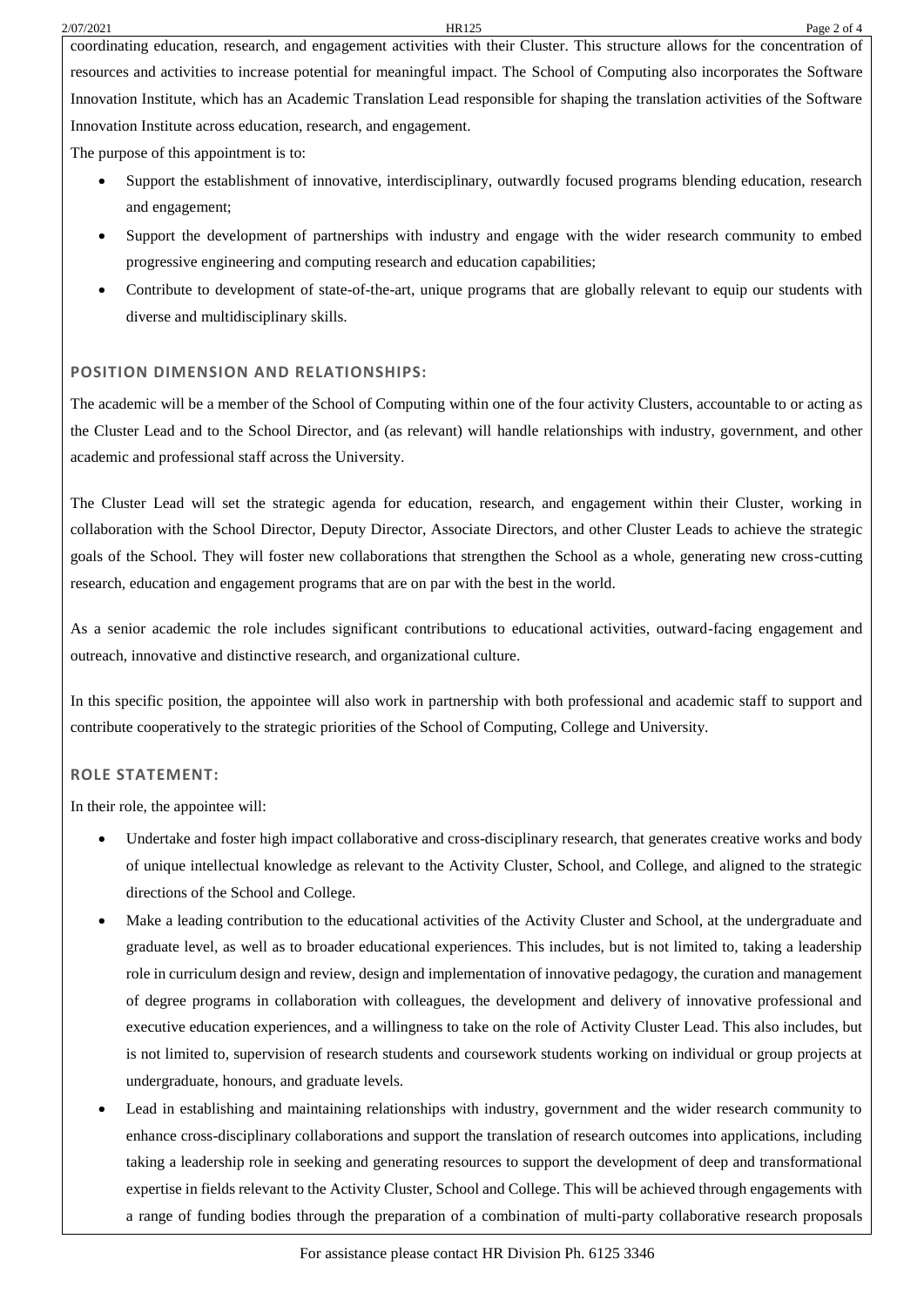coordinating education, research, and engagement activities with their Cluster. This structure allows for the concentration of resources and activities to increase potential for meaningful impact. The School of Computing also incorporates the Software Innovation Institute, which has an Academic Translation Lead responsible for shaping the translation activities of the Software Innovation Institute across education, research, and engagement.

The purpose of this appointment is to:

- Support the establishment of innovative, interdisciplinary, outwardly focused programs blending education, research and engagement;
- Support the development of partnerships with industry and engage with the wider research community to embed progressive engineering and computing research and education capabilities;
- Contribute to development of state-of-the-art, unique programs that are globally relevant to equip our students with diverse and multidisciplinary skills.

### **POSITION DIMENSION AND RELATIONSHIPS:**

The academic will be a member of the School of Computing within one of the four activity Clusters, accountable to or acting as the Cluster Lead and to the School Director, and (as relevant) will handle relationships with industry, government, and other academic and professional staff across the University.

The Cluster Lead will set the strategic agenda for education, research, and engagement within their Cluster, working in collaboration with the School Director, Deputy Director, Associate Directors, and other Cluster Leads to achieve the strategic goals of the School. They will foster new collaborations that strengthen the School as a whole, generating new cross-cutting research, education and engagement programs that are on par with the best in the world.

As a senior academic the role includes significant contributions to educational activities, outward-facing engagement and outreach, innovative and distinctive research, and organizational culture.

In this specific position, the appointee will also work in partnership with both professional and academic staff to support and contribute cooperatively to the strategic priorities of the School of Computing, College and University.

### **ROLE STATEMENT:**

In their role, the appointee will:

- Undertake and foster high impact collaborative and cross-disciplinary research, that generates creative works and body of unique intellectual knowledge as relevant to the Activity Cluster, School, and College, and aligned to the strategic directions of the School and College.
- Make a leading contribution to the educational activities of the Activity Cluster and School, at the undergraduate and graduate level, as well as to broader educational experiences. This includes, but is not limited to, taking a leadership role in curriculum design and review, design and implementation of innovative pedagogy, the curation and management of degree programs in collaboration with colleagues, the development and delivery of innovative professional and executive education experiences, and a willingness to take on the role of Activity Cluster Lead. This also includes, but is not limited to, supervision of research students and coursework students working on individual or group projects at undergraduate, honours, and graduate levels.
- Lead in establishing and maintaining relationships with industry, government and the wider research community to enhance cross-disciplinary collaborations and support the translation of research outcomes into applications, including taking a leadership role in seeking and generating resources to support the development of deep and transformational expertise in fields relevant to the Activity Cluster, School and College. This will be achieved through engagements with a range of funding bodies through the preparation of a combination of multi-party collaborative research proposals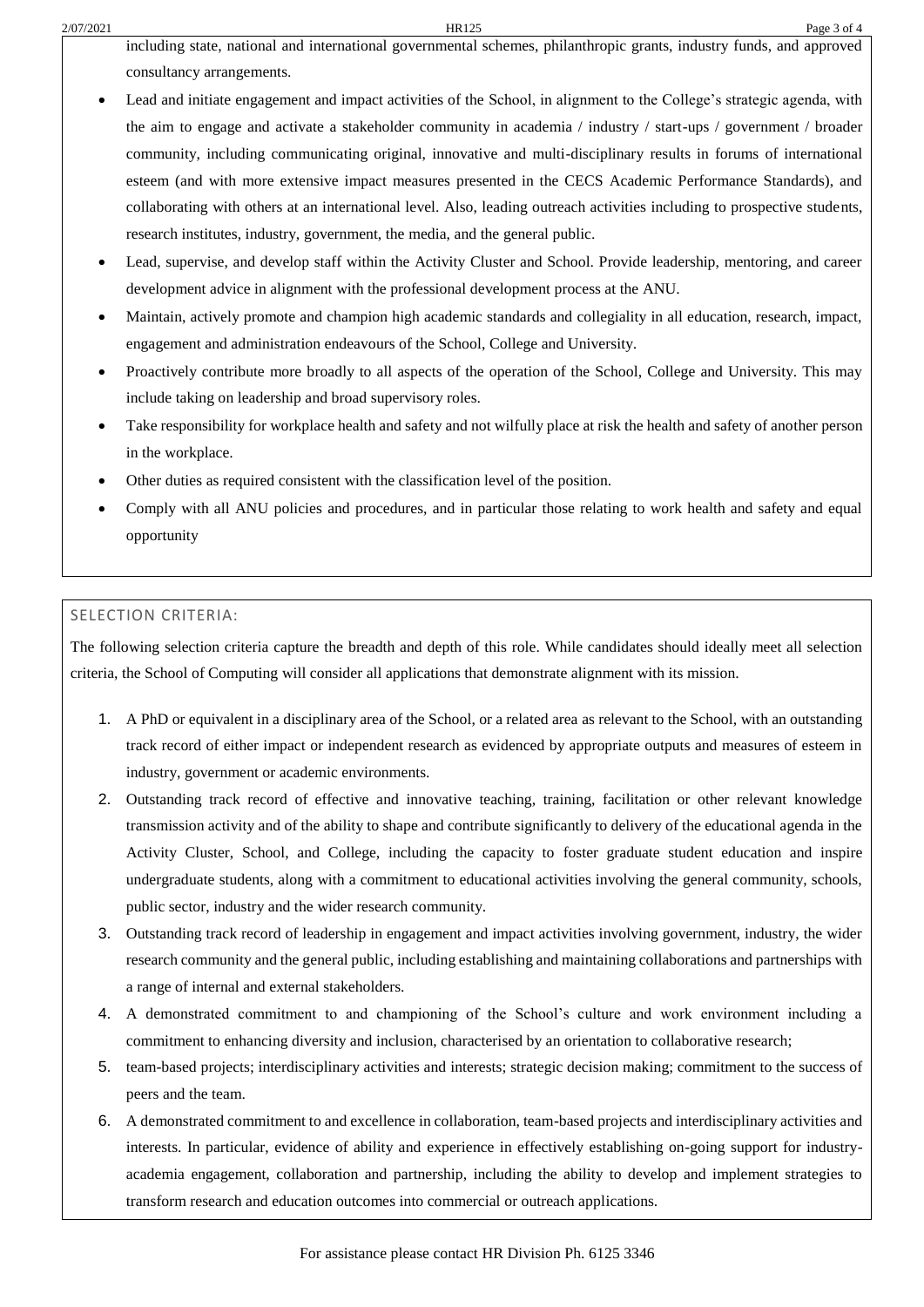including state, national and international governmental schemes, philanthropic grants, industry funds, and approved consultancy arrangements.

- Lead and initiate engagement and impact activities of the School, in alignment to the College's strategic agenda, with the aim to engage and activate a stakeholder community in academia / industry / start-ups / government / broader community, including communicating original, innovative and multi-disciplinary results in forums of international esteem (and with more extensive impact measures presented in the CECS Academic Performance Standards), and collaborating with others at an international level. Also, leading outreach activities including to prospective students, research institutes, industry, government, the media, and the general public.
- Lead, supervise, and develop staff within the Activity Cluster and School. Provide leadership, mentoring, and career development advice in alignment with the professional development process at the ANU.
- Maintain, actively promote and champion high academic standards and collegiality in all education, research, impact, engagement and administration endeavours of the School, College and University.
- Proactively contribute more broadly to all aspects of the operation of the School, College and University. This may include taking on leadership and broad supervisory roles.
- Take responsibility for workplace health and safety and not wilfully place at risk the health and safety of another person in the workplace.
- Other duties as required consistent with the classification level of the position.
- Comply with all ANU policies and procedures, and in particular those relating to work health and safety and equal opportunity

### SELECTION CRITERIA:

The following selection criteria capture the breadth and depth of this role. While candidates should ideally meet all selection criteria, the School of Computing will consider all applications that demonstrate alignment with its mission.

- 1. A PhD or equivalent in a disciplinary area of the School, or a related area as relevant to the School, with an outstanding track record of either impact or independent research as evidenced by appropriate outputs and measures of esteem in industry, government or academic environments.
- 2. Outstanding track record of effective and innovative teaching, training, facilitation or other relevant knowledge transmission activity and of the ability to shape and contribute significantly to delivery of the educational agenda in the Activity Cluster, School, and College, including the capacity to foster graduate student education and inspire undergraduate students, along with a commitment to educational activities involving the general community, schools, public sector, industry and the wider research community.
- 3. Outstanding track record of leadership in engagement and impact activities involving government, industry, the wider research community and the general public, including establishing and maintaining collaborations and partnerships with a range of internal and external stakeholders.
- 4. A demonstrated commitment to and championing of the School's culture and work environment including a commitment to enhancing diversity and inclusion, characterised by an orientation to collaborative research;
- 5. team-based projects; interdisciplinary activities and interests; strategic decision making; commitment to the success of peers and the team.
- 6. A demonstrated commitment to and excellence in collaboration, team-based projects and interdisciplinary activities and interests. In particular, evidence of ability and experience in effectively establishing on-going support for industryacademia engagement, collaboration and partnership, including the ability to develop and implement strategies to transform research and education outcomes into commercial or outreach applications.